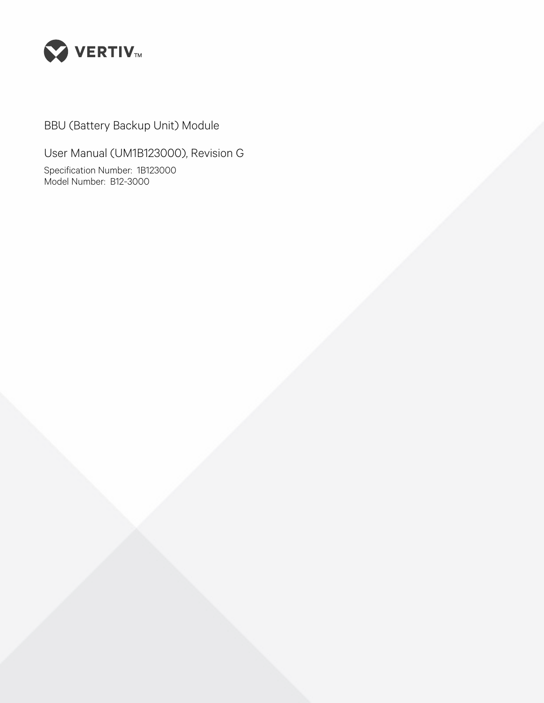

BBU (Battery Backup Unit) Module

User Manual (UM1B123000), Revision G Specification Number: 1B123000 Model Number: B12-3000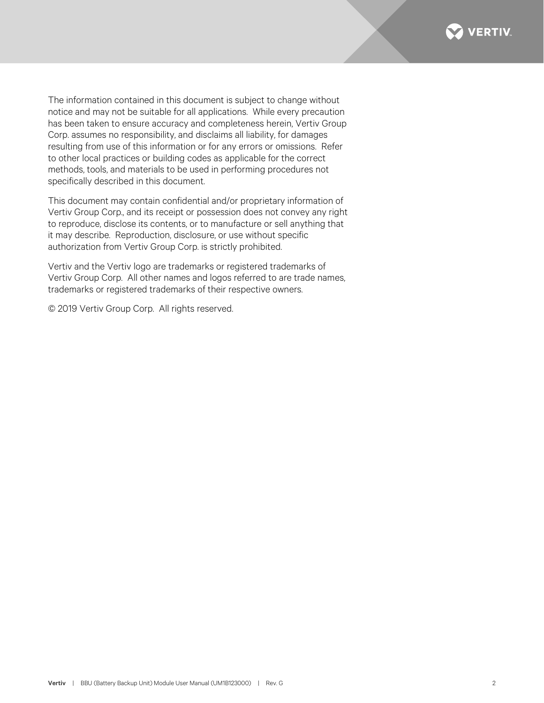

The information contained in this document is subject to change without notice and may not be suitable for all applications. While every precaution has been taken to ensure accuracy and completeness herein, Vertiv Group Corp. assumes no responsibility, and disclaims all liability, for damages resulting from use of this information or for any errors or omissions. Refer to other local practices or building codes as applicable for the correct methods, tools, and materials to be used in performing procedures not specifically described in this document.

This document may contain confidential and/or proprietary information of Vertiv Group Corp., and its receipt or possession does not convey any right to reproduce, disclose its contents, or to manufacture or sell anything that it may describe. Reproduction, disclosure, or use without specific authorization from Vertiv Group Corp. is strictly prohibited.

Vertiv and the Vertiv logo are trademarks or registered trademarks of Vertiv Group Corp. All other names and logos referred to are trade names, trademarks or registered trademarks of their respective owners.

© 2019 Vertiv Group Corp. All rights reserved.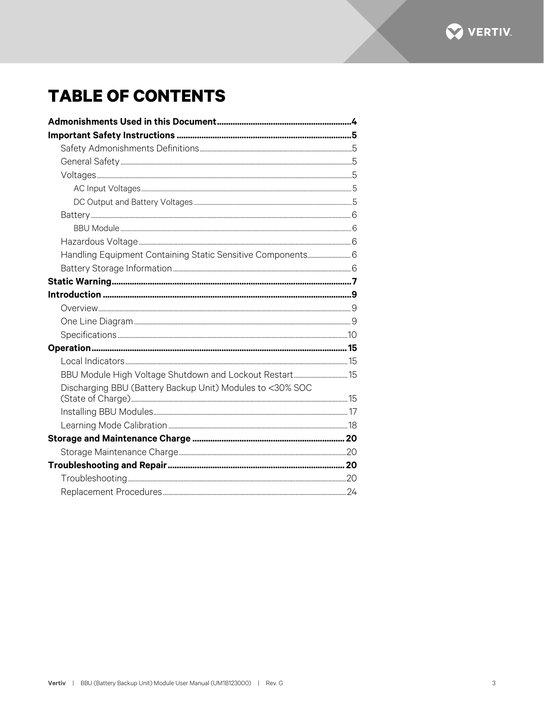

# **TABLE OF CONTENTS**

| Handling Equipment Containing Static Sensitive Components 6 |
|-------------------------------------------------------------|
|                                                             |
|                                                             |
|                                                             |
|                                                             |
|                                                             |
|                                                             |
|                                                             |
|                                                             |
|                                                             |
|                                                             |
|                                                             |
|                                                             |
|                                                             |
|                                                             |
|                                                             |
|                                                             |
|                                                             |
|                                                             |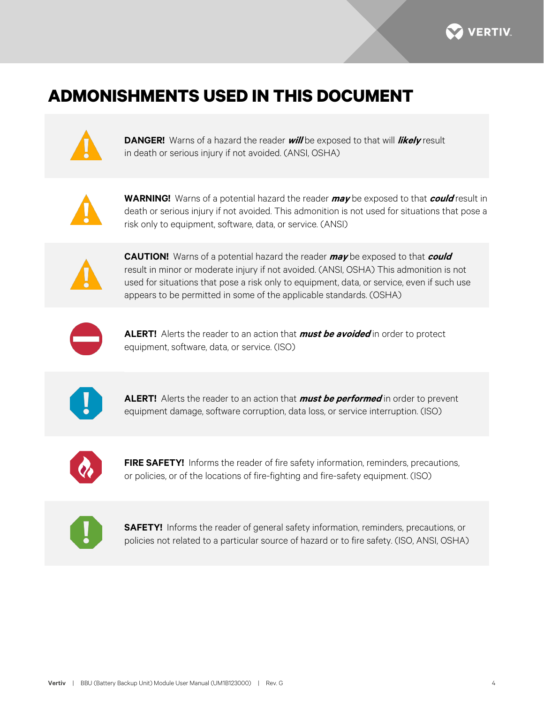

# <span id="page-3-0"></span>**ADMONISHMENTS USED IN THIS DOCUMENT**



**DANGER!** Warns of a hazard the reader **will** be exposed to that will **likely** result in death or serious injury if not avoided. (ANSI, OSHA)



**WARNING!** Warns of a potential hazard the reader **may** be exposed to that **could** result in death or serious injury if not avoided. This admonition is not used for situations that pose a risk only to equipment, software, data, or service. (ANSI)



**CAUTION!** Warns of a potential hazard the reader **may** be exposed to that **could** result in minor or moderate injury if not avoided. (ANSI, OSHA) This admonition is not used for situations that pose a risk only to equipment, data, or service, even if such use appears to be permitted in some of the applicable standards. (OSHA)



**ALERT!** Alerts the reader to an action that **must be avoided** in order to protect equipment, software, data, or service. (ISO)



**ALERT!** Alerts the reader to an action that **must be performed** in order to prevent equipment damage, software corruption, data loss, or service interruption. (ISO)



**FIRE SAFETY!** Informs the reader of fire safety information, reminders, precautions, or policies, or of the locations of fire-fighting and fire-safety equipment. (ISO)



**SAFETY!** Informs the reader of general safety information, reminders, precautions, or policies not related to a particular source of hazard or to fire safety. (ISO, ANSI, OSHA)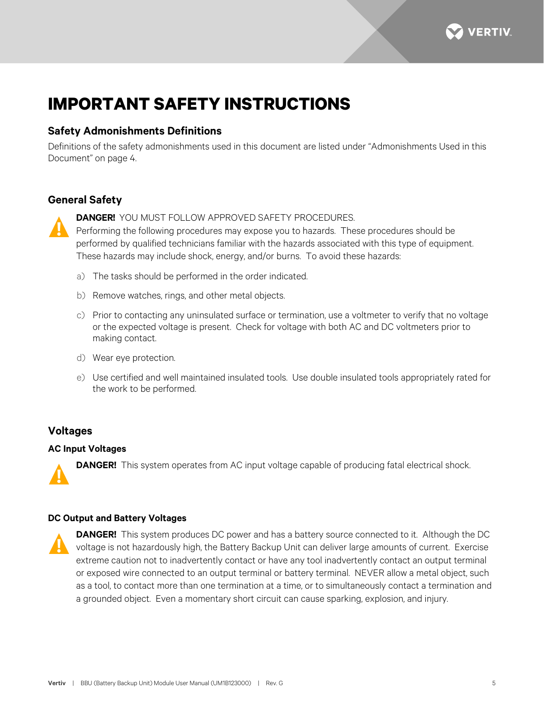

# <span id="page-4-0"></span>**IMPORTANT SAFETY INSTRUCTIONS**

## <span id="page-4-1"></span>**Safety Admonishments Definitions**

Definitions of the safety admonishments used in this document are listed under ["Admonishments Used in this](#page-3-0)  [Document"](#page-3-0) on page [4.](#page-3-0)

# <span id="page-4-2"></span>**General Safety**

**DANGER!** YOU MUST FOLLOW APPROVED SAFETY PROCEDURES.

Performing the following procedures may expose you to hazards. These procedures should be performed by qualified technicians familiar with the hazards associated with this type of equipment. These hazards may include shock, energy, and/or burns. To avoid these hazards:

- a) The tasks should be performed in the order indicated.
- b) Remove watches, rings, and other metal objects.
- c) Prior to contacting any uninsulated surface or termination, use a voltmeter to verify that no voltage or the expected voltage is present. Check for voltage with both AC and DC voltmeters prior to making contact.
- d) Wear eye protection.
- e) Use certified and well maintained insulated tools. Use double insulated tools appropriately rated for the work to be performed.

# <span id="page-4-3"></span>**Voltages**

## <span id="page-4-4"></span>**AC Input Voltages**

**DANGER!** This system operates from AC input voltage capable of producing fatal electrical shock.

## <span id="page-4-5"></span>**DC Output and Battery Voltages**



**DANGER!** This system produces DC power and has a battery source connected to it. Although the DC voltage is not hazardously high, the Battery Backup Unit can deliver large amounts of current. Exercise extreme caution not to inadvertently contact or have any tool inadvertently contact an output terminal or exposed wire connected to an output terminal or battery terminal. NEVER allow a metal object, such as a tool, to contact more than one termination at a time, or to simultaneously contact a termination and a grounded object. Even a momentary short circuit can cause sparking, explosion, and injury.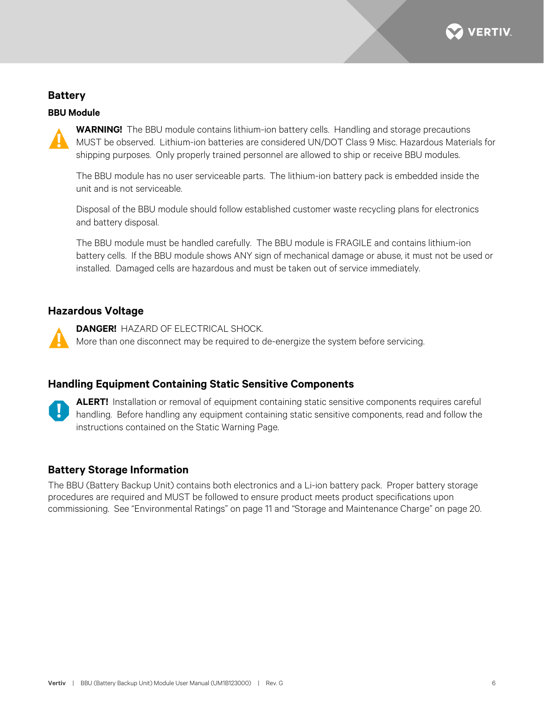

## <span id="page-5-0"></span>**Battery**

### <span id="page-5-1"></span>**BBU Module**



**WARNING!** The BBU module contains lithium-ion battery cells. Handling and storage precautions MUST be observed. Lithium-ion batteries are considered UN/DOT Class 9 Misc. Hazardous Materials for shipping purposes. Only properly trained personnel are allowed to ship or receive BBU modules.

The BBU module has no user serviceable parts. The lithium-ion battery pack is embedded inside the unit and is not serviceable.

Disposal of the BBU module should follow established customer waste recycling plans for electronics and battery disposal.

The BBU module must be handled carefully. The BBU module is FRAGILE and contains lithium-ion battery cells. If the BBU module shows ANY sign of mechanical damage or abuse, it must not be used or installed. Damaged cells are hazardous and must be taken out of service immediately.

## <span id="page-5-2"></span>**Hazardous Voltage**

**DANGER!** HAZARD OF ELECTRICAL SHOCK. More than one disconnect may be required to de-energize the system before servicing.

## <span id="page-5-3"></span>**Handling Equipment Containing Static Sensitive Components**



**ALERT!** Installation or removal of equipment containing static sensitive components requires careful handling. Before handling any equipment containing static sensitive components, read and follow the instructions contained on the Static Warning Page.

## <span id="page-5-4"></span>**Battery Storage Information**

The BBU (Battery Backup Unit) contains both electronics and a Li-ion battery pack. Proper battery storage procedures are required and MUST be followed to ensure product meets product specifications upon commissioning. See ["Environmental Ratings"](#page-10-0) on page [11](#page-10-0) and ["Storage and Maintenance Charge"](#page-19-0) on page [20.](#page-19-0)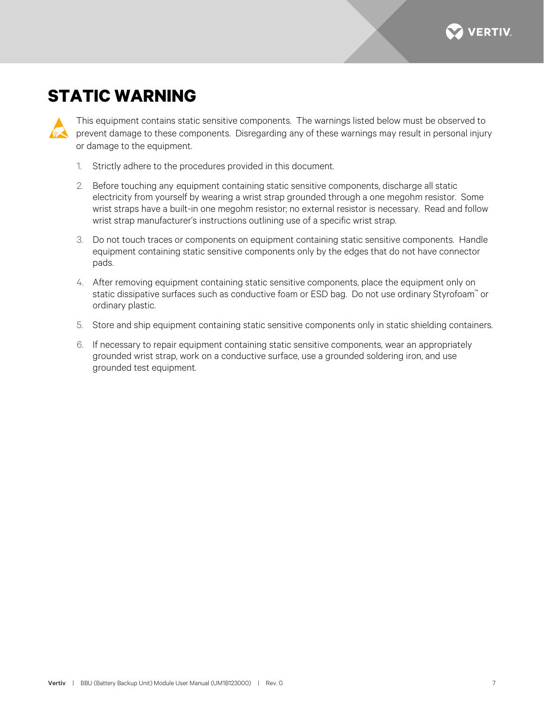

# <span id="page-6-0"></span>**STATIC WARNING**

This equipment contains static sensitive components. The warnings listed below must be observed to prevent damage to these components. Disregarding any of these warnings may result in personal injury or damage to the equipment.

- 1. Strictly adhere to the procedures provided in this document.
- 2. Before touching any equipment containing static sensitive components, discharge all static electricity from yourself by wearing a wrist strap grounded through a one megohm resistor. Some wrist straps have a built-in one megohm resistor; no external resistor is necessary. Read and follow wrist strap manufacturer's instructions outlining use of a specific wrist strap.
- 3. Do not touch traces or components on equipment containing static sensitive components. Handle equipment containing static sensitive components only by the edges that do not have connector pads.
- 4. After removing equipment containing static sensitive components, place the equipment only on static dissipative surfaces such as conductive foam or ESD bag. Do not use ordinary Styrofoam™ or ordinary plastic.
- 5. Store and ship equipment containing static sensitive components only in static shielding containers.
- 6. If necessary to repair equipment containing static sensitive components, wear an appropriately grounded wrist strap, work on a conductive surface, use a grounded soldering iron, and use grounded test equipment.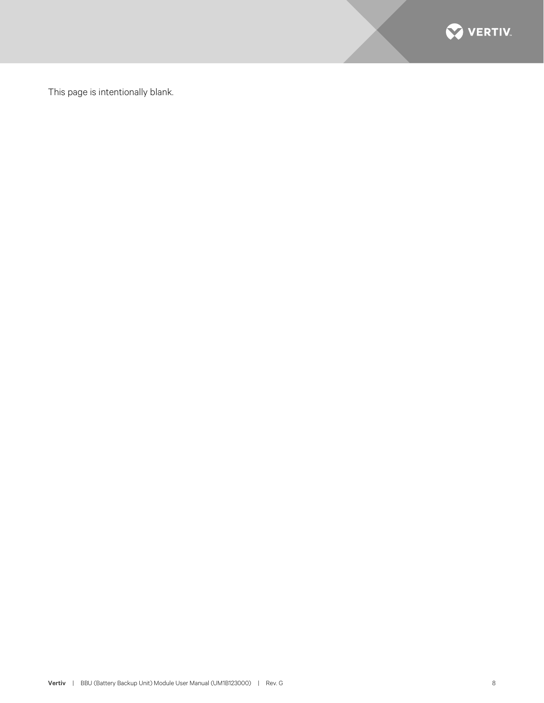

This page is intentionally blank.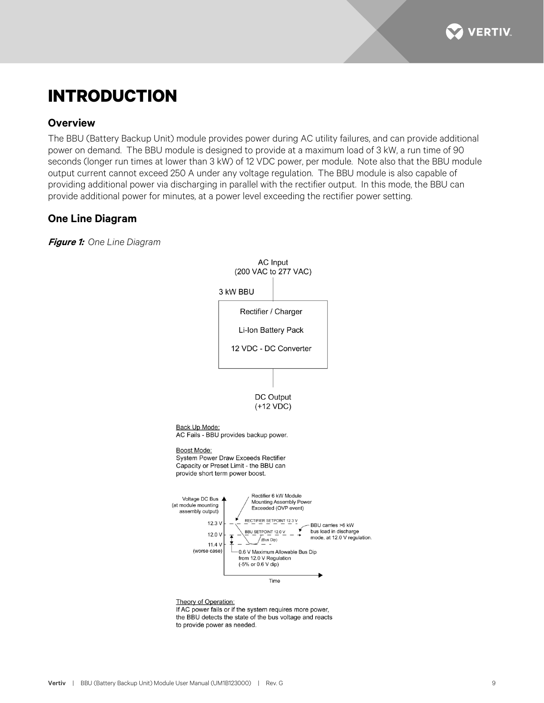

# <span id="page-8-0"></span>**INTRODUCTION**

## <span id="page-8-1"></span>**Overview**

The BBU (Battery Backup Unit) module provides power during AC utility failures, and can provide additional power on demand. The BBU module is designed to provide at a maximum load of 3 kW, a run time of 90 seconds (longer run times at lower than 3 kW) of 12 VDC power, per module. Note also that the BBU module output current cannot exceed 250 A under any voltage regulation. The BBU module is also capable of providing additional power via discharging in parallel with the rectifier output. In this mode, the BBU can provide additional power for minutes, at a power level exceeding the rectifier power setting.

## <span id="page-8-2"></span>**One Line Diagram**

**Figure 1:** *One Line Diagram*



If AC power fails or if the system requires more power, the BBU detects the state of the bus voltage and reacts to provide power as needed.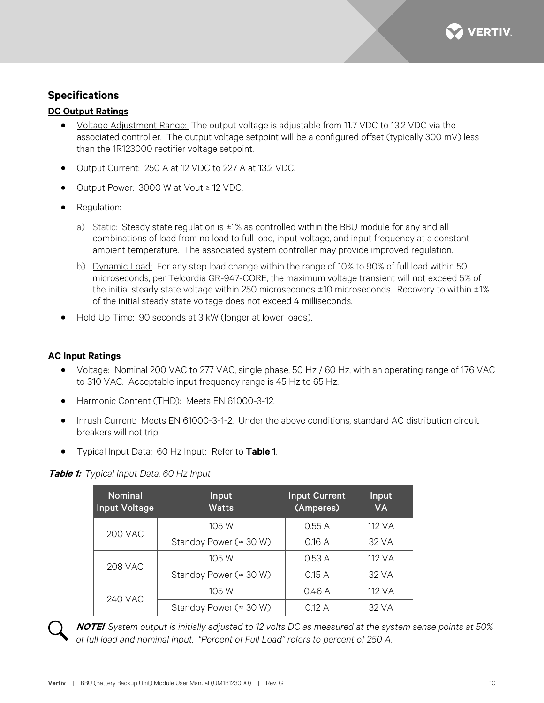

## <span id="page-9-0"></span>**Specifications**

### **DC Output Ratings**

- Voltage Adjustment Range: The output voltage is adjustable from 11.7 VDC to 13.2 VDC via the associated controller. The output voltage setpoint will be a configured offset (typically 300 mV) less than the 1R123000 rectifier voltage setpoint.
- Output Current: 250 A at 12 VDC to 227 A at 13.2 VDC.
- Output Power: 3000 W at Vout ≥ 12 VDC.
- Regulation:
	- a) Static: Steady state regulation is ±1% as controlled within the BBU module for any and all combinations of load from no load to full load, input voltage, and input frequency at a constant ambient temperature. The associated system controller may provide improved regulation.
	- b) Dynamic Load: For any step load change within the range of 10% to 90% of full load within 50 microseconds, per Telcordia GR-947-CORE, the maximum voltage transient will not exceed 5% of the initial steady state voltage within 250 microseconds ±10 microseconds. Recovery to within ±1% of the initial steady state voltage does not exceed 4 milliseconds.
- Hold Up Time: 90 seconds at 3 kW (longer at lower loads).

### **AC Input Ratings**

- *Voltage:* Nominal 200 VAC to 277 VAC, single phase, 50 Hz / 60 Hz, with an operating range of 176 VAC to 310 VAC. Acceptable input frequency range is 45 Hz to 65 Hz.
- Harmonic Content (THD): Meets EN 61000-3-12.
- Inrush Current: Meets EN 61000-3-1-2. Under the above conditions, standard AC distribution circuit breakers will not trip.
- Typical Input Data: 60 Hz Input: Refer to **[Table 1](#page-9-1)**.

<span id="page-9-1"></span>**Table 1:** *Typical Input Data, 60 Hz Input*

| <b>Nominal</b><br><b>Input Voltage</b> | Input<br>Watts                    | <b>Input Current</b><br>(Amperes) | Input<br><b>VA</b> |
|----------------------------------------|-----------------------------------|-----------------------------------|--------------------|
| 200 VAC                                | 105 W                             | 0.55A                             | 112 VA             |
|                                        | Standby Power $($ $\approx$ 30 W) | 0.16A                             | 32 VA              |
| 208 VAC                                | 105 W                             | 0.53A                             | 112 VA             |
|                                        | Standby Power $($ $\approx$ 30 W) | 0.15A                             | 32 VA              |
| 240 VAC                                | 105 W                             | 0.46A                             | 112 VA             |
|                                        | Standby Power $($ $\approx$ 30 W) | 0.12A                             | 32 VA              |



**NOTE!** *System output is initially adjusted to 12 volts DC as measured at the system sense points at 50% of full load and nominal input. "Percent of Full Load" refers to percent of 250 A.*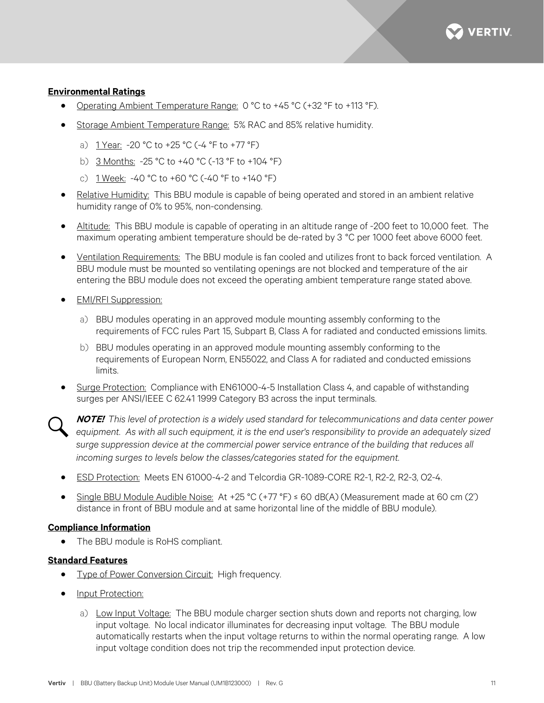

### <span id="page-10-0"></span>**Environmental Ratings**

- Operating Ambient Temperature Range: 0 °C to +45 °C (+32 °F to +113 °F).
- Storage Ambient Temperature Range: 5% RAC and 85% relative humidity.
	- a) 1 Year: -20 °C to +25 °C (-4 °F to +77 °F)
	- b) 3 Months: -25 °C to +40 °C (-13 °F to +104 °F)
	- c) 1 Week: -40 °C to +60 °C (-40 °F to +140 °F)
- Relative Humidity: This BBU module is capable of being operated and stored in an ambient relative humidity range of 0% to 95%, non-condensing.
- Altitude: This BBU module is capable of operating in an altitude range of -200 feet to 10,000 feet. The maximum operating ambient temperature should be de-rated by 3 °C per 1000 feet above 6000 feet.
- Ventilation Requirements: The BBU module is fan cooled and utilizes front to back forced ventilation. A BBU module must be mounted so ventilating openings are not blocked and temperature of the air entering the BBU module does not exceed the operating ambient temperature range stated above.
- EMI/RFI Suppression:
	- a) BBU modules operating in an approved module mounting assembly conforming to the requirements of FCC rules Part 15, Subpart B, Class A for radiated and conducted emissions limits.
	- b) BBU modules operating in an approved module mounting assembly conforming to the requirements of European Norm, EN55022, and Class A for radiated and conducted emissions limits.
- Surge Protection: Compliance with EN61000-4-5 Installation Class 4, and capable of withstanding surges per ANSI/IEEE C 62.41 1999 Category B3 across the input terminals.

**NOTE!** *This level of protection is a widely used standard for telecommunications and data center power equipment. As with all such equipment, it is the end user's responsibility to provide an adequately sized surge suppression device at the commercial power service entrance of the building that reduces all incoming surges to levels below the classes/categories stated for the equipment.*

- ESD Protection: Meets EN 61000-4-2 and Telcordia GR-1089-CORE R2-1, R2-2, R2-3, O2-4.
- Single BBU Module Audible Noise: At +25 °C (+77 °F) ≤ 60 dB(A) (Measurement made at 60 cm (2') distance in front of BBU module and at same horizontal line of the middle of BBU module).

#### **Compliance Information**

• The BBU module is RoHS compliant.

#### **Standard Features**

- Type of Power Conversion Circuit: High frequency.
- Input Protection:
	- a) Low Input Voltage: The BBU module charger section shuts down and reports not charging, low input voltage. No local indicator illuminates for decreasing input voltage. The BBU module automatically restarts when the input voltage returns to within the normal operating range. A low input voltage condition does not trip the recommended input protection device.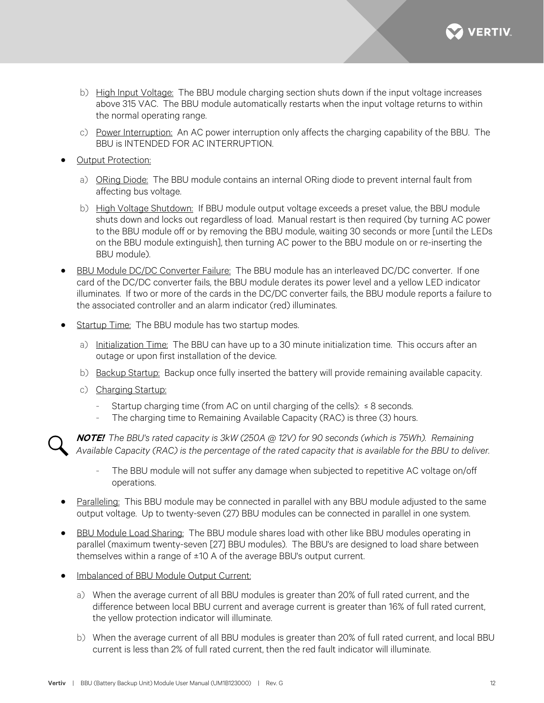

- b) High Input Voltage: The BBU module charging section shuts down if the input voltage increases above 315 VAC. The BBU module automatically restarts when the input voltage returns to within the normal operating range.
- c) Power Interruption: An AC power interruption only affects the charging capability of the BBU. The BBU is INTENDED FOR AC INTERRUPTION.
- Output Protection:
	- a) ORing Diode: The BBU module contains an internal ORing diode to prevent internal fault from affecting bus voltage.
	- b) High Voltage Shutdown: If BBU module output voltage exceeds a preset value, the BBU module shuts down and locks out regardless of load. Manual restart is then required (by turning AC power to the BBU module off or by removing the BBU module, waiting 30 seconds or more [until the LEDs on the BBU module extinguish], then turning AC power to the BBU module on or re-inserting the BBU module).
- BBU Module DC/DC Converter Failure: The BBU module has an interleaved DC/DC converter. If one card of the DC/DC converter fails, the BBU module derates its power level and a yellow LED indicator illuminates. If two or more of the cards in the DC/DC converter fails, the BBU module reports a failure to the associated controller and an alarm indicator (red) illuminates.
- Startup Time: The BBU module has two startup modes.
	- a) Initialization Time: The BBU can have up to a 30 minute initialization time. This occurs after an outage or upon first installation of the device.
	- b) Backup Startup: Backup once fully inserted the battery will provide remaining available capacity.
	- c) Charging Startup:
		- Startup charging time (from AC on until charging of the cells):  $\leq 8$  seconds.
		- The charging time to Remaining Available Capacity (RAC) is three (3) hours.

**NOTE!** *The BBU's rated capacity is 3kW (250A @ 12V) for 90 seconds (which is 75Wh). Remaining Available Capacity (RAC) is the percentage of the rated capacity that is available for the BBU to deliver.*

- The BBU module will not suffer any damage when subjected to repetitive AC voltage on/off operations.
- Paralleling: This BBU module may be connected in parallel with any BBU module adjusted to the same output voltage. Up to twenty-seven (27) BBU modules can be connected in parallel in one system.
- BBU Module Load Sharing: The BBU module shares load with other like BBU modules operating in parallel (maximum twenty-seven [27] BBU modules). The BBU's are designed to load share between themselves within a range of ±10 A of the average BBU's output current.
- Imbalanced of BBU Module Output Current:
	- a) When the average current of all BBU modules is greater than 20% of full rated current, and the difference between local BBU current and average current is greater than 16% of full rated current, the yellow protection indicator will illuminate.
	- b) When the average current of all BBU modules is greater than 20% of full rated current, and local BBU current is less than 2% of full rated current, then the red fault indicator will illuminate.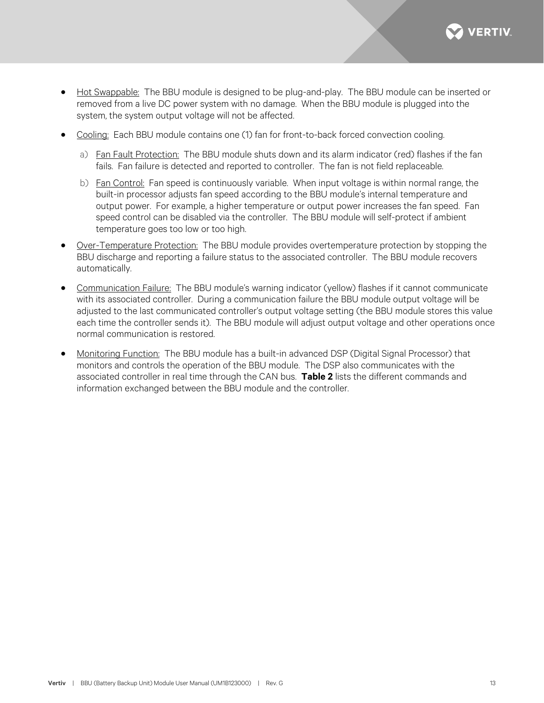

- Hot Swappable: The BBU module is designed to be plug-and-play. The BBU module can be inserted or removed from a live DC power system with no damage. When the BBU module is plugged into the system, the system output voltage will not be affected.
- Cooling: Each BBU module contains one (1) fan for front-to-back forced convection cooling.
	- a) Fan Fault Protection: The BBU module shuts down and its alarm indicator (red) flashes if the fan fails. Fan failure is detected and reported to controller. The fan is not field replaceable.
	- b) Fan Control: Fan speed is continuously variable. When input voltage is within normal range, the built-in processor adjusts fan speed according to the BBU module's internal temperature and output power. For example, a higher temperature or output power increases the fan speed. Fan speed control can be disabled via the controller. The BBU module will self-protect if ambient temperature goes too low or too high.
- Over-Temperature Protection: The BBU module provides overtemperature protection by stopping the BBU discharge and reporting a failure status to the associated controller. The BBU module recovers automatically.
- Communication Failure: The BBU module's warning indicator (yellow) flashes if it cannot communicate with its associated controller. During a communication failure the BBU module output voltage will be adjusted to the last communicated controller's output voltage setting (the BBU module stores this value each time the controller sends it). The BBU module will adjust output voltage and other operations once normal communication is restored.
- Monitoring Function: The BBU module has a built-in advanced DSP (Digital Signal Processor) that monitors and controls the operation of the BBU module. The DSP also communicates with the associated controller in real time through the CAN bus. **[Table 2](#page-13-0)** lists the different commands and information exchanged between the BBU module and the controller.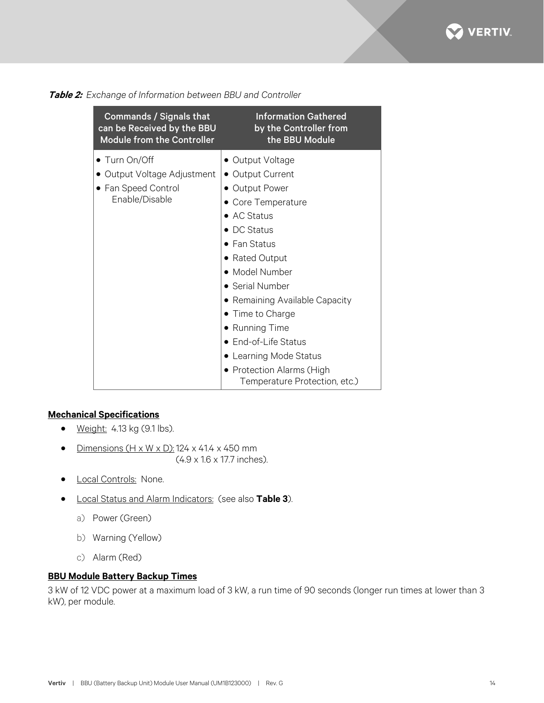

### <span id="page-13-0"></span>**Table 2:** *Exchange of Information between BBU and Controller*

| <b>Commands / Signals that</b>                                                    | <b>Information Gathered</b>                                                                                                                                                                                                                                                                                                                                                                               |
|-----------------------------------------------------------------------------------|-----------------------------------------------------------------------------------------------------------------------------------------------------------------------------------------------------------------------------------------------------------------------------------------------------------------------------------------------------------------------------------------------------------|
| can be Received by the BBU                                                        | by the Controller from                                                                                                                                                                                                                                                                                                                                                                                    |
| <b>Module from the Controller</b>                                                 | the BBU Module                                                                                                                                                                                                                                                                                                                                                                                            |
| • Turn On/Off<br>Output Voltage Adjustment<br>Fan Speed Control<br>Enable/Disable | • Output Voltage<br>• Output Current<br><b>Output Power</b><br>Core Temperature<br>$\bullet$ AC Status<br><b>DC Status</b><br>$\bullet$ Fan Status<br>• Rated Output<br>• Model Number<br>• Serial Number<br>• Remaining Available Capacity<br>$\bullet$ Time to Charge<br>• Running Time<br>• End-of-Life Status<br>• Learning Mode Status<br>• Protection Alarms (High<br>Temperature Protection, etc.) |

### **Mechanical Specifications**

- Weight: 4.13 kg (9.1 lbs).
- Dimensions  $(H \times W \times D)$ : 124 x 41.4 x 450 mm (4.9 x 1.6 x 17.7 inches).
- Local Controls: None.
- Local Status and Alarm Indicators: (see also **[Table 3](#page-15-0)**).
	- a) Power (Green)
	- b) Warning (Yellow)
	- c) Alarm (Red)

### **BBU Module Battery Backup Times**

3 kW of 12 VDC power at a maximum load of 3 kW, a run time of 90 seconds (longer run times at lower than 3 kW), per module.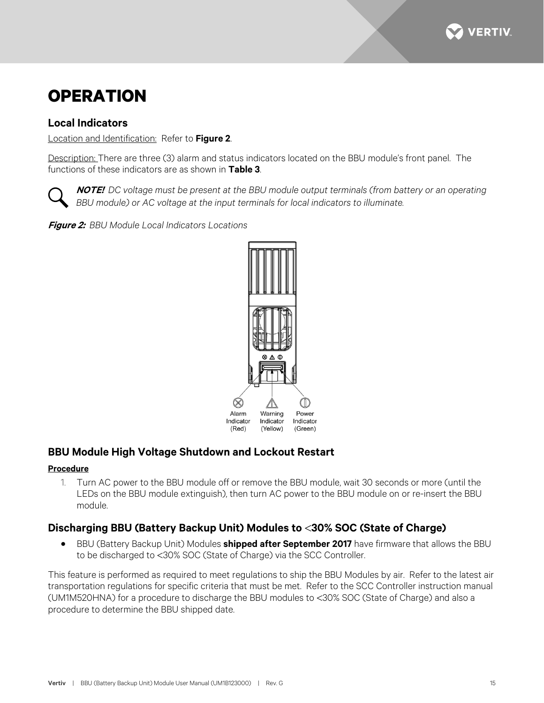

# <span id="page-14-0"></span>**OPERATION**

## <span id="page-14-1"></span>**Local Indicators**

Location and Identification: Refer to **[Figure 2](#page-14-4)**.

Description: There are three (3) alarm and status indicators located on the BBU module's front panel. The functions of these indicators are as shown in **[Table 3](#page-15-0)**.



**NOTE!** *DC voltage must be present at the BBU module output terminals (from battery or an operating BBU module) or AC voltage at the input terminals for local indicators to illuminate.*

<span id="page-14-4"></span>**Figure 2:** *BBU Module Local Indicators Locations*



# <span id="page-14-2"></span>**BBU Module High Voltage Shutdown and Lockout Restart**

#### **Procedure**

1. Turn AC power to the BBU module off or remove the BBU module, wait 30 seconds or more (until the LEDs on the BBU module extinguish), then turn AC power to the BBU module on or re-insert the BBU module.

# <span id="page-14-3"></span>**Discharging BBU (Battery Backup Unit) Modules to** <**30% SOC (State of Charge)**

• BBU (Battery Backup Unit) Modules **shipped after September 2017** have firmware that allows the BBU to be discharged to <30% SOC (State of Charge) via the SCC Controller.

This feature is performed as required to meet regulations to ship the BBU Modules by air. Refer to the latest air transportation regulations for specific criteria that must be met. Refer to the SCC Controller instruction manual (UM1M520HNA) for a procedure to discharge the BBU modules to <30% SOC (State of Charge) and also a procedure to determine the BBU shipped date.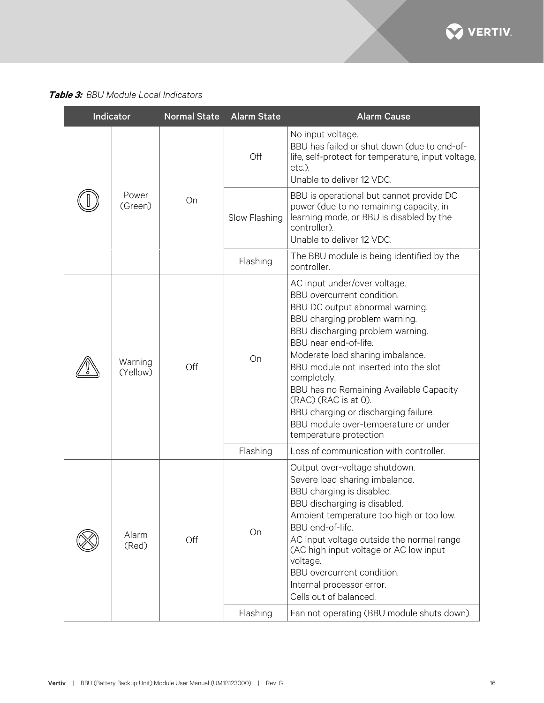

## <span id="page-15-0"></span>**Table 3:** *BBU Module Local Indicators*

|  | <b>Indicator</b>    | <b>Normal State</b> | <b>Alarm State</b> | <b>Alarm Cause</b>                                                                                                                                                                                                                                                                                                                                                                                                                                                   |
|--|---------------------|---------------------|--------------------|----------------------------------------------------------------------------------------------------------------------------------------------------------------------------------------------------------------------------------------------------------------------------------------------------------------------------------------------------------------------------------------------------------------------------------------------------------------------|
|  | Power<br>(Green)    | On                  | Off                | No input voltage.<br>BBU has failed or shut down (due to end-of-<br>life, self-protect for temperature, input voltage,<br>etc.).<br>Unable to deliver 12 VDC.                                                                                                                                                                                                                                                                                                        |
|  |                     |                     | Slow Flashing      | BBU is operational but cannot provide DC<br>power (due to no remaining capacity, in<br>learning mode, or BBU is disabled by the<br>controller).<br>Unable to deliver 12 VDC.                                                                                                                                                                                                                                                                                         |
|  |                     |                     | Flashing           | The BBU module is being identified by the<br>controller.                                                                                                                                                                                                                                                                                                                                                                                                             |
|  | Warning<br>(Yellow) | Off                 | On                 | AC input under/over voltage.<br>BBU overcurrent condition.<br>BBU DC output abnormal warning.<br>BBU charging problem warning.<br>BBU discharging problem warning.<br>BBU near end-of-life.<br>Moderate load sharing imbalance.<br>BBU module not inserted into the slot<br>completely.<br>BBU has no Remaining Available Capacity<br>(RAC) (RAC is at 0).<br>BBU charging or discharging failure.<br>BBU module over-temperature or under<br>temperature protection |
|  |                     |                     | Flashing           | Loss of communication with controller.                                                                                                                                                                                                                                                                                                                                                                                                                               |
|  | Alarm<br>(Red)      | Off                 | On                 | Output over-voltage shutdown.<br>Severe load sharing imbalance.<br>BBU charging is disabled.<br>BBU discharging is disabled.<br>Ambient temperature too high or too low.<br>BBU end-of-life.<br>AC input voltage outside the normal range<br>(AC high input voltage or AC low input<br>voltage.<br>BBU overcurrent condition.<br>Internal processor error.<br>Cells out of balanced.                                                                                 |
|  |                     |                     | Flashing           | Fan not operating (BBU module shuts down).                                                                                                                                                                                                                                                                                                                                                                                                                           |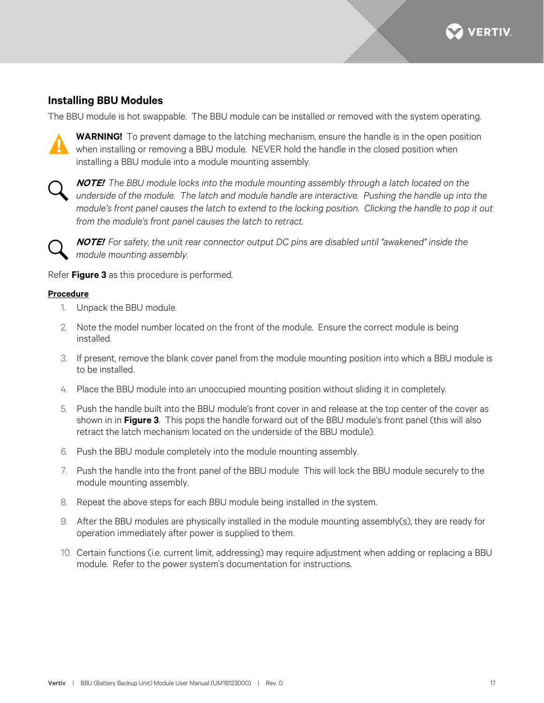

## <span id="page-16-0"></span>**Installing BBU Modules**

The BBU module is hot swappable. The BBU module can be installed or removed with the system operating.



**WARNING!** To prevent damage to the latching mechanism, ensure the handle is in the open position when installing or removing a BBU module. NEVER hold the handle in the closed position when installing a BBU module into a module mounting assembly.



**NOTE!** *The BBU module locks into the module mounting assembly through a latch located on the underside of the module. The latch and module handle are interactive. Pushing the handle up into the module's front panel causes the latch to extend to the locking position. Clicking the handle to pop it out from the module's front panel causes the latch to retract.*



**NOTE!** *For safety, the unit rear connector output DC pins are disabled until "awakened" inside the module mounting assembly.*

Refer **[Figure 3](#page-17-1)** as this procedure is performed.

#### **Procedure**

- 1. Unpack the BBU module.
- 2. Note the model number located on the front of the module. Ensure the correct module is being installed.
- 3. If present, remove the blank cover panel from the module mounting position into which a BBU module is to be installed.
- 4. Place the BBU module into an unoccupied mounting position without sliding it in completely.
- 5. Push the handle built into the BBU module's front cover in and release at the top center of the cover as shown in in **[Figure 3](#page-17-1)**. This pops the handle forward out of the BBU module's front panel (this will also retract the latch mechanism located on the underside of the BBU module).
- 6. Push the BBU module completely into the module mounting assembly.
- 7. Push the handle into the front panel of the BBU module This will lock the BBU module securely to the module mounting assembly.
- 8. Repeat the above steps for each BBU module being installed in the system.
- 9. After the BBU modules are physically installed in the module mounting assembly(s), they are ready for operation immediately after power is supplied to them.
- 10. Certain functions (i.e. current limit, addressing) may require adjustment when adding or replacing a BBU module. Refer to the power system's documentation for instructions.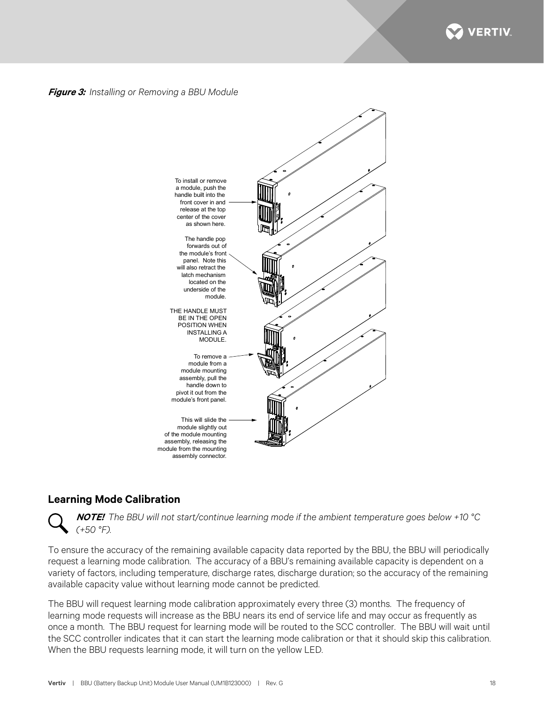

#### <span id="page-17-1"></span>**Figure 3:** *Installing or Removing a BBU Module*



## <span id="page-17-0"></span>**Learning Mode Calibration**

**NOTE!** *The BBU will not start/continue learning mode if the ambient temperature goes below +10 °C (+50 °F).*

To ensure the accuracy of the remaining available capacity data reported by the BBU, the BBU will periodically request a learning mode calibration. The accuracy of a BBU's remaining available capacity is dependent on a variety of factors, including temperature, discharge rates, discharge duration; so the accuracy of the remaining available capacity value without learning mode cannot be predicted.

The BBU will request learning mode calibration approximately every three (3) months. The frequency of learning mode requests will increase as the BBU nears its end of service life and may occur as frequently as once a month. The BBU request for learning mode will be routed to the SCC controller. The BBU will wait until the SCC controller indicates that it can start the learning mode calibration or that it should skip this calibration. When the BBU requests learning mode, it will turn on the yellow LED.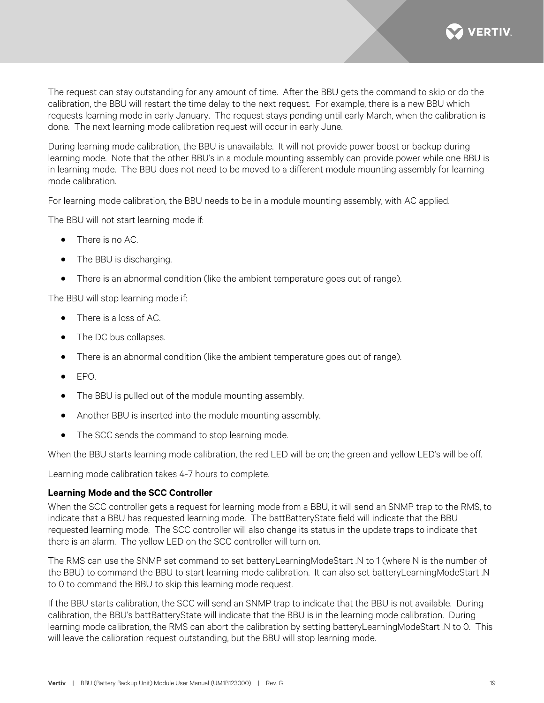

The request can stay outstanding for any amount of time. After the BBU gets the command to skip or do the calibration, the BBU will restart the time delay to the next request. For example, there is a new BBU which requests learning mode in early January. The request stays pending until early March, when the calibration is done. The next learning mode calibration request will occur in early June.

During learning mode calibration, the BBU is unavailable. It will not provide power boost or backup during learning mode. Note that the other BBU's in a module mounting assembly can provide power while one BBU is in learning mode. The BBU does not need to be moved to a different module mounting assembly for learning mode calibration.

For learning mode calibration, the BBU needs to be in a module mounting assembly, with AC applied.

The BBU will not start learning mode if:

- There is no AC.
- The BBU is discharging.
- There is an abnormal condition (like the ambient temperature goes out of range).

The BBU will stop learning mode if:

- There is a loss of AC.
- The DC bus collapses.
- There is an abnormal condition (like the ambient temperature goes out of range).
- EPO.
- The BBU is pulled out of the module mounting assembly.
- Another BBU is inserted into the module mounting assembly.
- The SCC sends the command to stop learning mode.

When the BBU starts learning mode calibration, the red LED will be on; the green and yellow LED's will be off.

Learning mode calibration takes 4-7 hours to complete.

### **Learning Mode and the SCC Controller**

When the SCC controller gets a request for learning mode from a BBU, it will send an SNMP trap to the RMS, to indicate that a BBU has requested learning mode. The battBatteryState field will indicate that the BBU requested learning mode. The SCC controller will also change its status in the update traps to indicate that there is an alarm. The yellow LED on the SCC controller will turn on.

The RMS can use the SNMP set command to set batteryLearningModeStart .N to 1 (where N is the number of the BBU) to command the BBU to start learning mode calibration. It can also set batteryLearningModeStart .N to 0 to command the BBU to skip this learning mode request.

If the BBU starts calibration, the SCC will send an SNMP trap to indicate that the BBU is not available. During calibration, the BBU's battBatteryState will indicate that the BBU is in the learning mode calibration. During learning mode calibration, the RMS can abort the calibration by setting batteryLearningModeStart .N to 0. This will leave the calibration request outstanding, but the BBU will stop learning mode.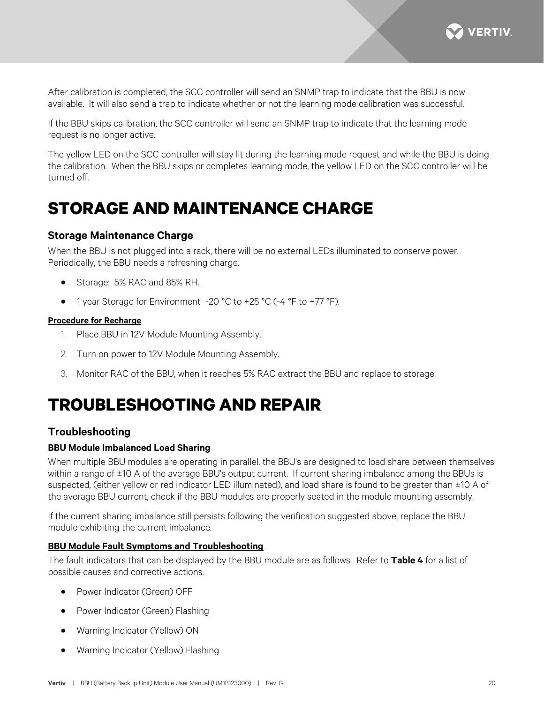**VERTIV** 

After calibration is completed, the SCC controller will send an SNMP trap to indicate that the BBU is now available. It will also send a trap to indicate whether or not the learning mode calibration was successful.

If the BBU skips calibration, the SCC controller will send an SNMP trap to indicate that the learning mode request is no longer active.

The yellow LED on the SCC controller will stay lit during the learning mode request and while the BBU is doing the calibration. When the BBU skips or completes learning mode, the yellow LED on the SCC controller will be turned off.

# <span id="page-19-0"></span>**STORAGE AND MAINTENANCE CHARGE**

### <span id="page-19-1"></span>**Storage Maintenance Charge**

When the BBU is not plugged into a rack, there will be no external LEDs illuminated to conserve power. Periodically, the BBU needs a refreshing charge.

- Storage: 5% RAC and 85% RH.
- 1 year Storage for Environment -20 °C to +25 °C (-4 °F to +77 °F).

#### **Procedure for Recharge**

- 1. Place BBU in 12V Module Mounting Assembly.
- 2. Turn on power to 12V Module Mounting Assembly.
- 3. Monitor RAC of the BBU, when it reaches 5% RAC extract the BBU and replace to storage.

# <span id="page-19-2"></span>**TROUBLESHOOTING AND REPAIR**

## <span id="page-19-3"></span>**Troubleshooting**

#### **BBU Module Imbalanced Load Sharing**

When multiple BBU modules are operating in parallel, the BBU's are designed to load share between themselves within a range of  $\pm$ 10 A of the average BBU's output current. If current sharing imbalance among the BBUs is suspected, (either yellow or red indicator LED illuminated), and load share is found to be greater than ±10 A of the average BBU current, check if the BBU modules are properly seated in the module mounting assembly.

If the current sharing imbalance still persists following the verification suggested above, replace the BBU module exhibiting the current imbalance.

#### **BBU Module Fault Symptoms and Troubleshooting**

The fault indicators that can be displayed by the BBU module are as follows. Refer to **[Table 4](#page-20-0)** for a list of possible causes and corrective actions.

- Power Indicator (Green) OFF
- Power Indicator (Green) Flashing
- Warning Indicator (Yellow) ON
- Warning Indicator (Yellow) Flashing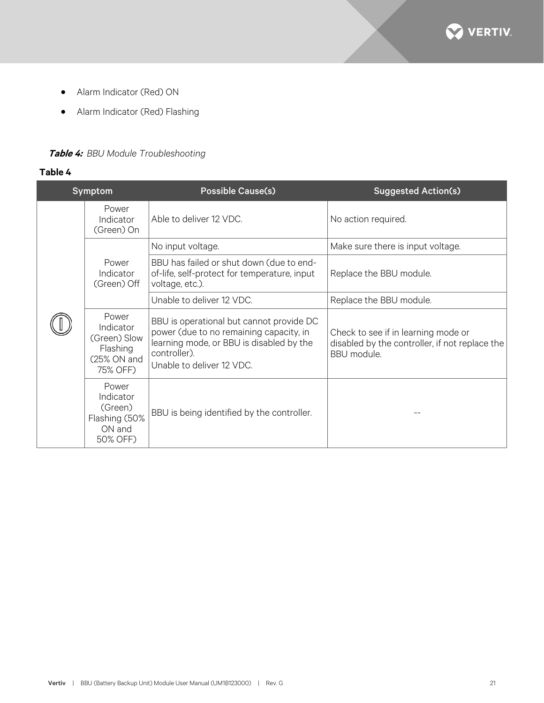

- Alarm Indicator (Red) ON
- Alarm Indicator (Red) Flashing

## <span id="page-20-0"></span>**Table 4:** *BBU Module Troubleshooting*

## **[Table 4](#page-20-0)**

| Symptom |                                                                           | <b>Possible Cause(s)</b>                                                                                                                                                     | <b>Suggested Action(s)</b>                                                                                  |
|---------|---------------------------------------------------------------------------|------------------------------------------------------------------------------------------------------------------------------------------------------------------------------|-------------------------------------------------------------------------------------------------------------|
|         | Power<br>Indicator<br>(Green) On                                          | Able to deliver 12 VDC.                                                                                                                                                      | No action required.                                                                                         |
|         | Power<br>Indicator<br>(Green) Off                                         | No input voltage.                                                                                                                                                            | Make sure there is input voltage.                                                                           |
|         |                                                                           | BBU has failed or shut down (due to end-<br>of-life, self-protect for temperature, input<br>voltage, etc.).                                                                  | Replace the BBU module.                                                                                     |
|         |                                                                           | Unable to deliver 12 VDC.                                                                                                                                                    | Replace the BBU module.                                                                                     |
|         | Power<br>Indicator<br>(Green) Slow<br>Flashing<br>(25% ON and<br>75% OFF) | BBU is operational but cannot provide DC<br>power (due to no remaining capacity, in<br>learning mode, or BBU is disabled by the<br>controller).<br>Unable to deliver 12 VDC. | Check to see if in learning mode or<br>disabled by the controller, if not replace the<br><b>BBU</b> module. |
|         | Power<br>Indicator<br>(Green)<br>Flashing (50%<br>ON and<br>50% OFF)      | BBU is being identified by the controller.                                                                                                                                   |                                                                                                             |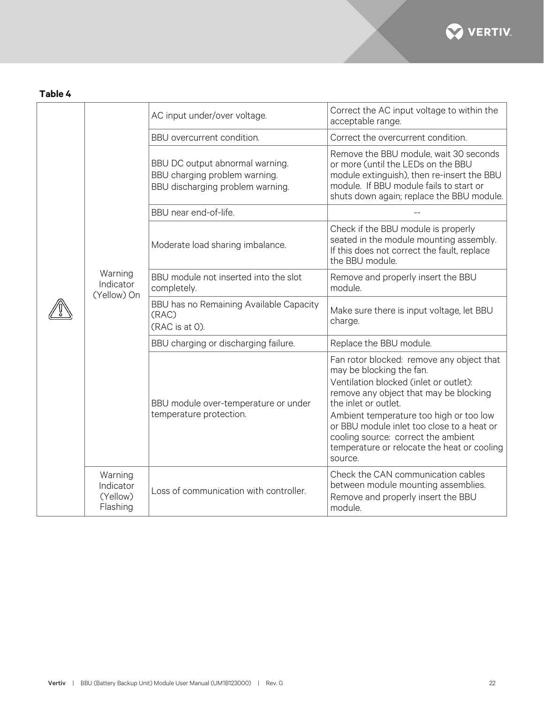

#### **[Table 4](#page-20-0)**

|  | Warning<br>Indicator<br>(Yellow) On          | AC input under/over voltage.                                                                         | Correct the AC input voltage to within the<br>acceptable range.                                                                                                                                                                                                                                                                                                             |
|--|----------------------------------------------|------------------------------------------------------------------------------------------------------|-----------------------------------------------------------------------------------------------------------------------------------------------------------------------------------------------------------------------------------------------------------------------------------------------------------------------------------------------------------------------------|
|  |                                              | BBU overcurrent condition.                                                                           | Correct the overcurrent condition.                                                                                                                                                                                                                                                                                                                                          |
|  |                                              | BBU DC output abnormal warning.<br>BBU charging problem warning.<br>BBU discharging problem warning. | Remove the BBU module, wait 30 seconds<br>or more (until the LEDs on the BBU<br>module extinguish), then re-insert the BBU<br>module. If BBU module fails to start or<br>shuts down again; replace the BBU module.                                                                                                                                                          |
|  |                                              | BBU near end-of-life.                                                                                |                                                                                                                                                                                                                                                                                                                                                                             |
|  |                                              | Moderate load sharing imbalance.                                                                     | Check if the BBU module is properly<br>seated in the module mounting assembly.<br>If this does not correct the fault, replace<br>the BBU module.                                                                                                                                                                                                                            |
|  |                                              | BBU module not inserted into the slot<br>completely.                                                 | Remove and properly insert the BBU<br>module.                                                                                                                                                                                                                                                                                                                               |
|  |                                              | BBU has no Remaining Available Capacity<br>(RAC)<br>(RAC is at 0).                                   | Make sure there is input voltage, let BBU<br>charge.                                                                                                                                                                                                                                                                                                                        |
|  |                                              | BBU charging or discharging failure.                                                                 | Replace the BBU module.                                                                                                                                                                                                                                                                                                                                                     |
|  |                                              | BBU module over-temperature or under<br>temperature protection.                                      | Fan rotor blocked: remove any object that<br>may be blocking the fan.<br>Ventilation blocked (inlet or outlet):<br>remove any object that may be blocking<br>the inlet or outlet.<br>Ambient temperature too high or too low<br>or BBU module inlet too close to a heat or<br>cooling source: correct the ambient<br>temperature or relocate the heat or cooling<br>source. |
|  | Warning<br>Indicator<br>(Yellow)<br>Flashing | Loss of communication with controller.                                                               | Check the CAN communication cables<br>between module mounting assemblies.<br>Remove and properly insert the BBU<br>module.                                                                                                                                                                                                                                                  |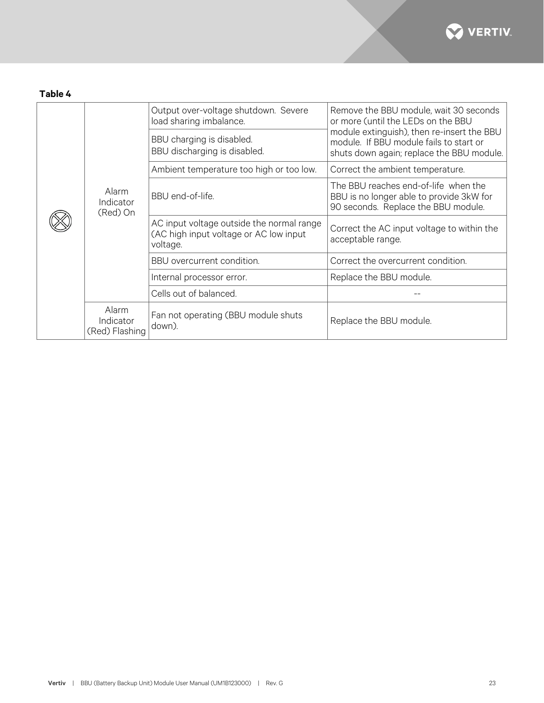

| × | ۰,<br>٠ |  |
|---|---------|--|
|---|---------|--|

|  | Alarm<br>Indicator<br>(Red) On       | Output over-voltage shutdown. Severe<br>load sharing imbalance.                                 | Remove the BBU module, wait 30 seconds<br>or more (until the LEDs on the BBU                                                       |
|--|--------------------------------------|-------------------------------------------------------------------------------------------------|------------------------------------------------------------------------------------------------------------------------------------|
|  |                                      | BBU charging is disabled.<br>BBU discharging is disabled.                                       | module extinguish), then re-insert the BBU<br>module. If BBU module fails to start or<br>shuts down again; replace the BBU module. |
|  |                                      | Ambient temperature too high or too low.                                                        | Correct the ambient temperature.                                                                                                   |
|  |                                      | BBU end-of-life.                                                                                | The BBU reaches end-of-life when the<br>BBU is no longer able to provide 3kW for<br>90 seconds. Replace the BBU module.            |
|  |                                      | AC input voltage outside the normal range<br>(AC high input voltage or AC low input<br>voltage. | Correct the AC input voltage to within the<br>acceptable range.                                                                    |
|  |                                      | BBU overcurrent condition.                                                                      | Correct the overcurrent condition.                                                                                                 |
|  |                                      | Internal processor error.                                                                       | Replace the BBU module.                                                                                                            |
|  |                                      | Cells out of balanced.                                                                          |                                                                                                                                    |
|  | Alarm<br>Indicator<br>(Red) Flashing | Fan not operating (BBU module shuts<br>down).                                                   | Replace the BBU module.                                                                                                            |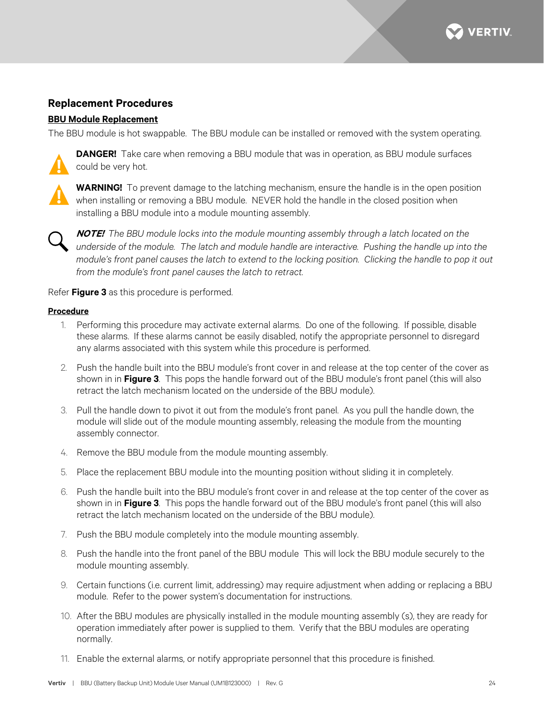

## <span id="page-23-0"></span>**Replacement Procedures**

### **BBU Module Replacement**

The BBU module is hot swappable. The BBU module can be installed or removed with the system operating.



**DANGER!** Take care when removing a BBU module that was in operation, as BBU module surfaces could be very hot.



**WARNING!** To prevent damage to the latching mechanism, ensure the handle is in the open position when installing or removing a BBU module. NEVER hold the handle in the closed position when installing a BBU module into a module mounting assembly.



**NOTE!** *The BBU module locks into the module mounting assembly through a latch located on the underside of the module. The latch and module handle are interactive. Pushing the handle up into the module's front panel causes the latch to extend to the locking position. Clicking the handle to pop it out from the module's front panel causes the latch to retract.*

Refer **[Figure 3](#page-17-1)** as this procedure is performed.

#### **Procedure**

- 1. Performing this procedure may activate external alarms. Do one of the following. If possible, disable these alarms. If these alarms cannot be easily disabled, notify the appropriate personnel to disregard any alarms associated with this system while this procedure is performed.
- 2. Push the handle built into the BBU module's front cover in and release at the top center of the cover as shown in in **[Figure 3](#page-17-1)**. This pops the handle forward out of the BBU module's front panel (this will also retract the latch mechanism located on the underside of the BBU module).
- 3. Pull the handle down to pivot it out from the module's front panel. As you pull the handle down, the module will slide out of the module mounting assembly, releasing the module from the mounting assembly connector.
- 4. Remove the BBU module from the module mounting assembly.
- 5. Place the replacement BBU module into the mounting position without sliding it in completely.
- 6. Push the handle built into the BBU module's front cover in and release at the top center of the cover as shown in in **[Figure 3](#page-17-1)**. This pops the handle forward out of the BBU module's front panel (this will also retract the latch mechanism located on the underside of the BBU module).
- 7. Push the BBU module completely into the module mounting assembly.
- 8. Push the handle into the front panel of the BBU module This will lock the BBU module securely to the module mounting assembly.
- 9. Certain functions (i.e. current limit, addressing) may require adjustment when adding or replacing a BBU module. Refer to the power system's documentation for instructions.
- 10. After the BBU modules are physically installed in the module mounting assembly (s), they are ready for operation immediately after power is supplied to them. Verify that the BBU modules are operating normally.
- 11. Enable the external alarms, or notify appropriate personnel that this procedure is finished.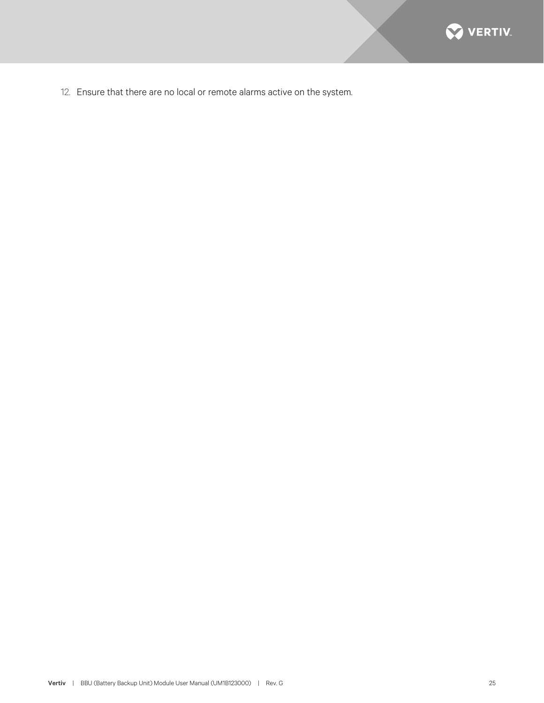

12. Ensure that there are no local or remote alarms active on the system.